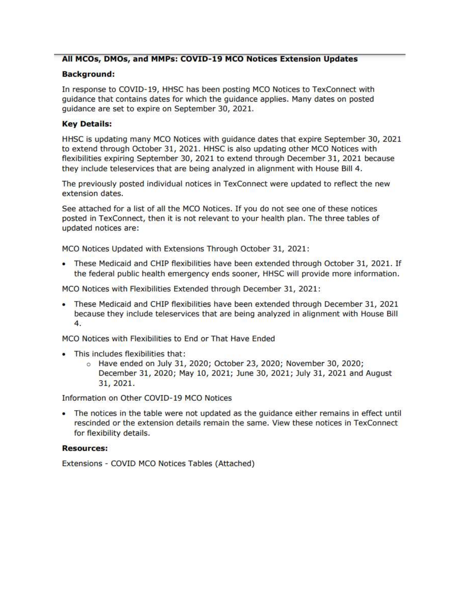#### All MCOs, DMOs, and MMPs: COVID-19 MCO Notices Extension Updates

#### **Background:**

In response to COVID-19, HHSC has been posting MCO Notices to TexConnect with guidance that contains dates for which the guidance applies. Many dates on posted guidance are set to expire on September 30, 2021.

#### **Key Details:**

HHSC is updating many MCO Notices with guidance dates that expire September 30, 2021 to extend through October 31, 2021. HHSC is also updating other MCO Notices with flexibilities expiring September 30, 2021 to extend through December 31, 2021 because they include teleservices that are being analyzed in alignment with House Bill 4.

The previously posted individual notices in TexConnect were updated to reflect the new extension dates.

See attached for a list of all the MCO Notices. If you do not see one of these notices posted in TexConnect, then it is not relevant to your health plan. The three tables of updated notices are:

MCO Notices Updated with Extensions Through October 31, 2021:

• These Medicaid and CHIP flexibilities have been extended through October 31, 2021. If the federal public health emergency ends sooner, HHSC will provide more information.

MCO Notices with Flexibilities Extended through December 31, 2021:

• These Medicaid and CHIP flexibilities have been extended through December 31, 2021 because they include teleservices that are being analyzed in alignment with House Bill 4.

MCO Notices with Flexibilities to End or That Have Ended

- . This includes flexibilities that:
	- o Have ended on July 31, 2020; October 23, 2020; November 30, 2020; December 31, 2020; May 10, 2021; June 30, 2021; July 31, 2021 and August 31, 2021.

Information on Other COVID-19 MCO Notices

• The notices in the table were not updated as the guidance either remains in effect until rescinded or the extension details remain the same. View these notices in TexConnect for flexibility details.

#### **Resources:**

Extensions - COVID MCO Notices Tables (Attached)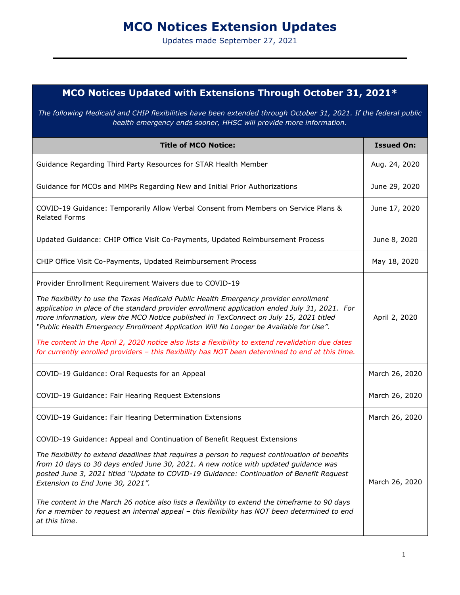# **MCO Notices Extension Updates**

Updates made September 27, 2021

### **MCO Notices Updated with Extensions Through October 31, 2021\***

*The following Medicaid and CHIP flexibilities have been extended through October 31, 2021. If the federal public health emergency ends sooner, HHSC will provide more information.*

| <b>Title of MCO Notice:</b>                                                                                                                                                                                                                                                                                                                                              | <b>Issued On:</b> |
|--------------------------------------------------------------------------------------------------------------------------------------------------------------------------------------------------------------------------------------------------------------------------------------------------------------------------------------------------------------------------|-------------------|
| Guidance Regarding Third Party Resources for STAR Health Member                                                                                                                                                                                                                                                                                                          | Aug. 24, 2020     |
| Guidance for MCOs and MMPs Regarding New and Initial Prior Authorizations                                                                                                                                                                                                                                                                                                | June 29, 2020     |
| COVID-19 Guidance: Temporarily Allow Verbal Consent from Members on Service Plans &<br><b>Related Forms</b>                                                                                                                                                                                                                                                              | June 17, 2020     |
| Updated Guidance: CHIP Office Visit Co-Payments, Updated Reimbursement Process                                                                                                                                                                                                                                                                                           | June 8, 2020      |
| CHIP Office Visit Co-Payments, Updated Reimbursement Process                                                                                                                                                                                                                                                                                                             | May 18, 2020      |
| Provider Enrollment Requirement Waivers due to COVID-19                                                                                                                                                                                                                                                                                                                  |                   |
| The flexibility to use the Texas Medicaid Public Health Emergency provider enrollment<br>application in place of the standard provider enrollment application ended July 31, 2021. For<br>more information, view the MCO Notice published in TexConnect on July 15, 2021 titled<br>"Public Health Emergency Enrollment Application Will No Longer be Available for Use". | April 2, 2020     |
| The content in the April 2, 2020 notice also lists a flexibility to extend revalidation due dates<br>for currently enrolled providers - this flexibility has NOT been determined to end at this time.                                                                                                                                                                    |                   |
| COVID-19 Guidance: Oral Requests for an Appeal                                                                                                                                                                                                                                                                                                                           | March 26, 2020    |
| COVID-19 Guidance: Fair Hearing Request Extensions                                                                                                                                                                                                                                                                                                                       | March 26, 2020    |
| COVID-19 Guidance: Fair Hearing Determination Extensions                                                                                                                                                                                                                                                                                                                 | March 26, 2020    |
| COVID-19 Guidance: Appeal and Continuation of Benefit Request Extensions                                                                                                                                                                                                                                                                                                 |                   |
| The flexibility to extend deadlines that requires a person to request continuation of benefits<br>from 10 days to 30 days ended June 30, 2021. A new notice with updated guidance was<br>posted June 3, 2021 titled "Update to COVID-19 Guidance: Continuation of Benefit Request<br>Extension to End June 30, 2021".                                                    | March 26, 2020    |
| The content in the March 26 notice also lists a flexibility to extend the timeframe to 90 days<br>for a member to request an internal appeal - this flexibility has NOT been determined to end<br>at this time.                                                                                                                                                          |                   |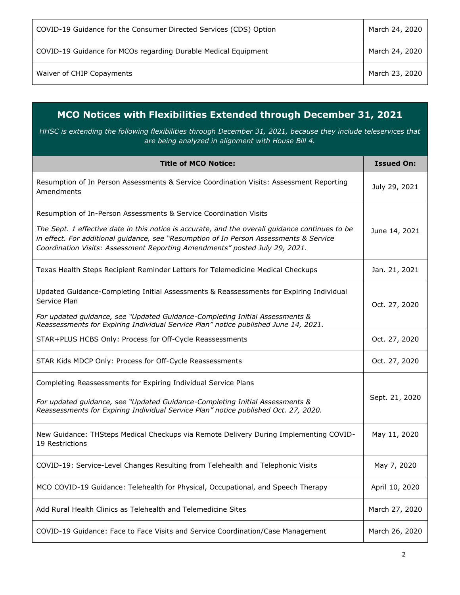| COVID-19 Guidance for the Consumer Directed Services (CDS) Option | March 24, 2020 |
|-------------------------------------------------------------------|----------------|
| COVID-19 Guidance for MCOs regarding Durable Medical Equipment    | March 24, 2020 |
| Waiver of CHIP Copayments                                         | March 23, 2020 |

## **MCO Notices with Flexibilities Extended through December 31, 2021**

*HHSC is extending the following flexibilities through December 31, 2021, because they include teleservices that are being analyzed in alignment with House Bill 4.*

| <b>Title of MCO Notice:</b>                                                                                                                                                                                                                                              | <b>Issued On:</b> |
|--------------------------------------------------------------------------------------------------------------------------------------------------------------------------------------------------------------------------------------------------------------------------|-------------------|
| Resumption of In Person Assessments & Service Coordination Visits: Assessment Reporting<br>Amendments                                                                                                                                                                    | July 29, 2021     |
| Resumption of In-Person Assessments & Service Coordination Visits                                                                                                                                                                                                        |                   |
| The Sept. 1 effective date in this notice is accurate, and the overall guidance continues to be<br>in effect. For additional guidance, see "Resumption of In Person Assessments & Service<br>Coordination Visits: Assessment Reporting Amendments" posted July 29, 2021. | June 14, 2021     |
| Texas Health Steps Recipient Reminder Letters for Telemedicine Medical Checkups                                                                                                                                                                                          | Jan. 21, 2021     |
| Updated Guidance-Completing Initial Assessments & Reassessments for Expiring Individual<br>Service Plan                                                                                                                                                                  |                   |
| For updated guidance, see "Updated Guidance-Completing Initial Assessments &<br>Reassessments for Expiring Individual Service Plan" notice published June 14, 2021.                                                                                                      | Oct. 27, 2020     |
| STAR+PLUS HCBS Only: Process for Off-Cycle Reassessments                                                                                                                                                                                                                 | Oct. 27, 2020     |
| STAR Kids MDCP Only: Process for Off-Cycle Reassessments                                                                                                                                                                                                                 | Oct. 27, 2020     |
| Completing Reassessments for Expiring Individual Service Plans                                                                                                                                                                                                           |                   |
| For updated guidance, see "Updated Guidance-Completing Initial Assessments &<br>Reassessments for Expiring Individual Service Plan" notice published Oct. 27, 2020.                                                                                                      | Sept. 21, 2020    |
| New Guidance: THSteps Medical Checkups via Remote Delivery During Implementing COVID-<br>19 Restrictions                                                                                                                                                                 | May 11, 2020      |
| COVID-19: Service-Level Changes Resulting from Telehealth and Telephonic Visits                                                                                                                                                                                          | May 7, 2020       |
| MCO COVID-19 Guidance: Telehealth for Physical, Occupational, and Speech Therapy                                                                                                                                                                                         | April 10, 2020    |
| Add Rural Health Clinics as Telehealth and Telemedicine Sites                                                                                                                                                                                                            | March 27, 2020    |
| COVID-19 Guidance: Face to Face Visits and Service Coordination/Case Management                                                                                                                                                                                          | March 26, 2020    |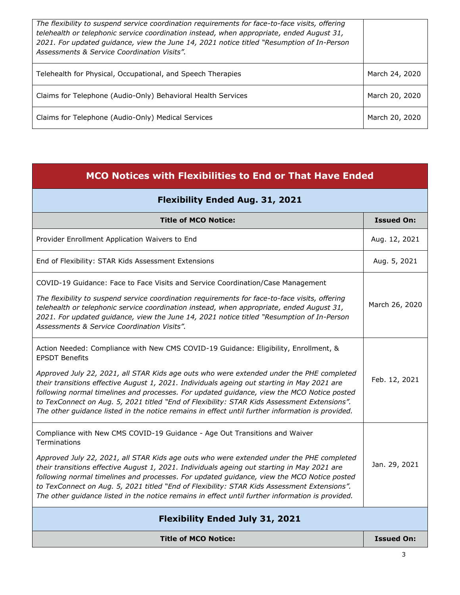| The flexibility to suspend service coordination requirements for face-to-face visits, offering<br>telehealth or telephonic service coordination instead, when appropriate, ended August 31,<br>2021. For updated guidance, view the June 14, 2021 notice titled "Resumption of In-Person<br>Assessments & Service Coordination Visits". |                |
|-----------------------------------------------------------------------------------------------------------------------------------------------------------------------------------------------------------------------------------------------------------------------------------------------------------------------------------------|----------------|
| Telehealth for Physical, Occupational, and Speech Therapies                                                                                                                                                                                                                                                                             | March 24, 2020 |
| Claims for Telephone (Audio-Only) Behavioral Health Services                                                                                                                                                                                                                                                                            | March 20, 2020 |
| Claims for Telephone (Audio-Only) Medical Services                                                                                                                                                                                                                                                                                      | March 20, 2020 |

| <b>MCO Notices with Flexibilities to End or That Have Ended</b>                                                                                                                                                                                                                                                                                                                                                                                                                                                                                                                                           |                   |
|-----------------------------------------------------------------------------------------------------------------------------------------------------------------------------------------------------------------------------------------------------------------------------------------------------------------------------------------------------------------------------------------------------------------------------------------------------------------------------------------------------------------------------------------------------------------------------------------------------------|-------------------|
| <b>Flexibility Ended Aug. 31, 2021</b>                                                                                                                                                                                                                                                                                                                                                                                                                                                                                                                                                                    |                   |
| <b>Title of MCO Notice:</b>                                                                                                                                                                                                                                                                                                                                                                                                                                                                                                                                                                               | <b>Issued On:</b> |
| Provider Enrollment Application Waivers to End                                                                                                                                                                                                                                                                                                                                                                                                                                                                                                                                                            | Aug. 12, 2021     |
| End of Flexibility: STAR Kids Assessment Extensions                                                                                                                                                                                                                                                                                                                                                                                                                                                                                                                                                       | Aug. 5, 2021      |
| COVID-19 Guidance: Face to Face Visits and Service Coordination/Case Management<br>The flexibility to suspend service coordination requirements for face-to-face visits, offering<br>telehealth or telephonic service coordination instead, when appropriate, ended August 31,<br>2021. For updated guidance, view the June 14, 2021 notice titled "Resumption of In-Person<br>Assessments & Service Coordination Visits".                                                                                                                                                                                | March 26, 2020    |
| Action Needed: Compliance with New CMS COVID-19 Guidance: Eligibility, Enrollment, &<br><b>EPSDT Benefits</b><br>Approved July 22, 2021, all STAR Kids age outs who were extended under the PHE completed<br>their transitions effective August 1, 2021. Individuals ageing out starting in May 2021 are<br>following normal timelines and processes. For updated guidance, view the MCO Notice posted<br>to TexConnect on Aug. 5, 2021 titled "End of Flexibility: STAR Kids Assessment Extensions".<br>The other guidance listed in the notice remains in effect until further information is provided. | Feb. 12, 2021     |
| Compliance with New CMS COVID-19 Guidance - Age Out Transitions and Waiver<br>Terminations<br>Approved July 22, 2021, all STAR Kids age outs who were extended under the PHE completed<br>their transitions effective August 1, 2021. Individuals ageing out starting in May 2021 are<br>following normal timelines and processes. For updated guidance, view the MCO Notice posted<br>to TexConnect on Aug. 5, 2021 titled "End of Flexibility: STAR Kids Assessment Extensions".<br>The other guidance listed in the notice remains in effect until further information is provided.                    | Jan. 29, 2021     |
| <b>Flexibility Ended July 31, 2021</b>                                                                                                                                                                                                                                                                                                                                                                                                                                                                                                                                                                    |                   |
| <b>Title of MCO Notice:</b>                                                                                                                                                                                                                                                                                                                                                                                                                                                                                                                                                                               | <b>Issued On:</b> |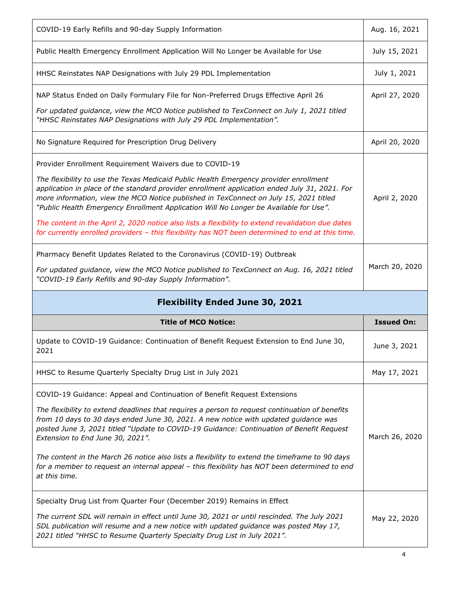| COVID-19 Early Refills and 90-day Supply Information                                                                                                                                                                                                                                                                                                                     | Aug. 16, 2021     |
|--------------------------------------------------------------------------------------------------------------------------------------------------------------------------------------------------------------------------------------------------------------------------------------------------------------------------------------------------------------------------|-------------------|
| Public Health Emergency Enrollment Application Will No Longer be Available for Use                                                                                                                                                                                                                                                                                       | July 15, 2021     |
| HHSC Reinstates NAP Designations with July 29 PDL Implementation                                                                                                                                                                                                                                                                                                         | July 1, 2021      |
| NAP Status Ended on Daily Formulary File for Non-Preferred Drugs Effective April 26                                                                                                                                                                                                                                                                                      | April 27, 2020    |
| For updated guidance, view the MCO Notice published to TexConnect on July 1, 2021 titled<br>"HHSC Reinstates NAP Designations with July 29 PDL Implementation".                                                                                                                                                                                                          |                   |
| No Signature Required for Prescription Drug Delivery                                                                                                                                                                                                                                                                                                                     | April 20, 2020    |
| Provider Enrollment Requirement Waivers due to COVID-19                                                                                                                                                                                                                                                                                                                  |                   |
| The flexibility to use the Texas Medicaid Public Health Emergency provider enrollment<br>application in place of the standard provider enrollment application ended July 31, 2021. For<br>more information, view the MCO Notice published in TexConnect on July 15, 2021 titled<br>"Public Health Emergency Enrollment Application Will No Longer be Available for Use". | April 2, 2020     |
| The content in the April 2, 2020 notice also lists a flexibility to extend revalidation due dates<br>for currently enrolled providers - this flexibility has NOT been determined to end at this time.                                                                                                                                                                    |                   |
| Pharmacy Benefit Updates Related to the Coronavirus (COVID-19) Outbreak                                                                                                                                                                                                                                                                                                  |                   |
| For updated guidance, view the MCO Notice published to TexConnect on Aug. 16, 2021 titled<br>"COVID-19 Early Refills and 90-day Supply Information".                                                                                                                                                                                                                     | March 20, 2020    |
|                                                                                                                                                                                                                                                                                                                                                                          |                   |
| <b>Flexibility Ended June 30, 2021</b>                                                                                                                                                                                                                                                                                                                                   |                   |
| <b>Title of MCO Notice:</b>                                                                                                                                                                                                                                                                                                                                              | <b>Issued On:</b> |
| Update to COVID-19 Guidance: Continuation of Benefit Request Extension to End June 30,<br>2021                                                                                                                                                                                                                                                                           | June 3, 2021      |
| HHSC to Resume Quarterly Specialty Drug List in July 2021                                                                                                                                                                                                                                                                                                                | May 17, 2021      |
| COVID-19 Guidance: Appeal and Continuation of Benefit Request Extensions                                                                                                                                                                                                                                                                                                 |                   |
| The flexibility to extend deadlines that requires a person to request continuation of benefits<br>from 10 days to 30 days ended June 30, 2021. A new notice with updated guidance was<br>posted June 3, 2021 titled "Update to COVID-19 Guidance: Continuation of Benefit Request<br>Extension to End June 30, 2021".                                                    | March 26, 2020    |
| The content in the March 26 notice also lists a flexibility to extend the timeframe to 90 days<br>for a member to request an internal appeal - this flexibility has NOT been determined to end<br>at this time.                                                                                                                                                          |                   |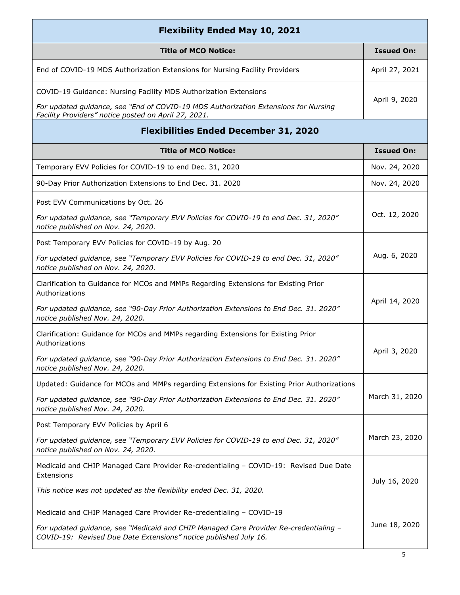| <b>Flexibility Ended May 10, 2021</b>                                                                                                                     |                   |
|-----------------------------------------------------------------------------------------------------------------------------------------------------------|-------------------|
| <b>Title of MCO Notice:</b>                                                                                                                               | <b>Issued On:</b> |
| End of COVID-19 MDS Authorization Extensions for Nursing Facility Providers                                                                               | April 27, 2021    |
| COVID-19 Guidance: Nursing Facility MDS Authorization Extensions                                                                                          |                   |
| For updated guidance, see "End of COVID-19 MDS Authorization Extensions for Nursing<br>Facility Providers" notice posted on April 27, 2021.               | April 9, 2020     |
| <b>Flexibilities Ended December 31, 2020</b>                                                                                                              |                   |
| <b>Title of MCO Notice:</b>                                                                                                                               | <b>Issued On:</b> |
| Temporary EVV Policies for COVID-19 to end Dec. 31, 2020                                                                                                  | Nov. 24, 2020     |
| 90-Day Prior Authorization Extensions to End Dec. 31. 2020                                                                                                | Nov. 24, 2020     |
| Post EVV Communications by Oct. 26                                                                                                                        |                   |
| For updated guidance, see "Temporary EVV Policies for COVID-19 to end Dec. 31, 2020"<br>notice published on Nov. 24, 2020.                                | Oct. 12, 2020     |
| Post Temporary EVV Policies for COVID-19 by Aug. 20                                                                                                       |                   |
| For updated guidance, see "Temporary EVV Policies for COVID-19 to end Dec. 31, 2020"<br>notice published on Nov. 24, 2020.                                | Aug. 6, 2020      |
| Clarification to Guidance for MCOs and MMPs Regarding Extensions for Existing Prior<br>Authorizations                                                     |                   |
| For updated guidance, see "90-Day Prior Authorization Extensions to End Dec. 31. 2020"<br>notice published Nov. 24, 2020.                                 | April 14, 2020    |
| Clarification: Guidance for MCOs and MMPs regarding Extensions for Existing Prior<br>Authorizations                                                       |                   |
| For updated guidance, see "90-Day Prior Authorization Extensions to End Dec. 31. 2020"<br>notice published Nov. 24, 2020.                                 | April 3, 2020     |
| Updated: Guidance for MCOs and MMPs regarding Extensions for Existing Prior Authorizations                                                                |                   |
| For updated guidance, see "90-Day Prior Authorization Extensions to End Dec. 31. 2020"<br>notice published Nov. 24, 2020.                                 | March 31, 2020    |
| Post Temporary EVV Policies by April 6                                                                                                                    |                   |
| For updated guidance, see "Temporary EVV Policies for COVID-19 to end Dec. 31, 2020"<br>notice published on Nov. 24, 2020.                                | March 23, 2020    |
| Medicaid and CHIP Managed Care Provider Re-credentialing - COVID-19: Revised Due Date<br>Extensions                                                       |                   |
| This notice was not updated as the flexibility ended Dec. 31, 2020.                                                                                       | July 16, 2020     |
| Medicaid and CHIP Managed Care Provider Re-credentialing - COVID-19                                                                                       |                   |
| For updated guidance, see "Medicaid and CHIP Managed Care Provider Re-credentialing -<br>COVID-19: Revised Due Date Extensions" notice published July 16. | June 18, 2020     |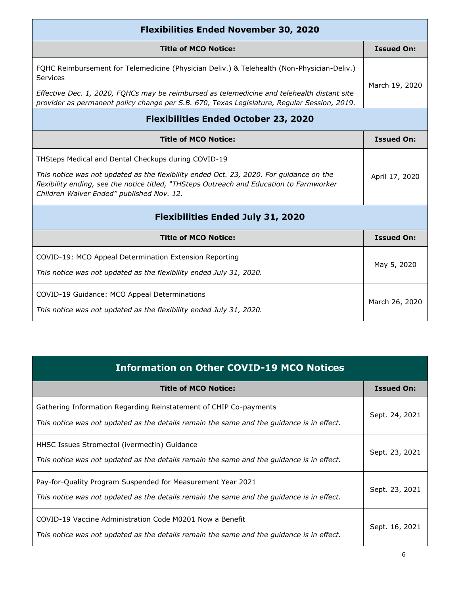| <b>Flexibilities Ended November 30, 2020</b>                                                                                                                                                                                     |                   |  |
|----------------------------------------------------------------------------------------------------------------------------------------------------------------------------------------------------------------------------------|-------------------|--|
| <b>Title of MCO Notice:</b>                                                                                                                                                                                                      | <b>Issued On:</b> |  |
| FQHC Reimbursement for Telemedicine (Physician Deliv.) & Telehealth (Non-Physician-Deliv.)<br>Services                                                                                                                           |                   |  |
| Effective Dec. 1, 2020, FQHCs may be reimbursed as telemedicine and telehealth distant site<br>provider as permanent policy change per S.B. 670, Texas Legislature, Regular Session, 2019.                                       | March 19, 2020    |  |
| <b>Flexibilities Ended October 23, 2020</b>                                                                                                                                                                                      |                   |  |
| <b>Title of MCO Notice:</b>                                                                                                                                                                                                      | <b>Issued On:</b> |  |
| THSteps Medical and Dental Checkups during COVID-19                                                                                                                                                                              |                   |  |
| This notice was not updated as the flexibility ended Oct. 23, 2020. For guidance on the<br>flexibility ending, see the notice titled, "THSteps Outreach and Education to Farmworker<br>Children Waiver Ended" published Nov. 12. | April 17, 2020    |  |
| <b>Flexibilities Ended July 31, 2020</b>                                                                                                                                                                                         |                   |  |
| <b>Title of MCO Notice:</b>                                                                                                                                                                                                      | <b>Issued On:</b> |  |
| COVID-19: MCO Appeal Determination Extension Reporting                                                                                                                                                                           | May 5, 2020       |  |
| This notice was not updated as the flexibility ended July 31, 2020.                                                                                                                                                              |                   |  |
| COVID-19 Guidance: MCO Appeal Determinations<br>This notice was not updated as the flexibility ended July 31, 2020.                                                                                                              | March 26, 2020    |  |

| <b>Information on Other COVID-19 MCO Notices</b> |
|--------------------------------------------------|
|                                                  |

| <b>Title of MCO Notice:</b>                                                                                                                                    | <b>Issued On:</b> |
|----------------------------------------------------------------------------------------------------------------------------------------------------------------|-------------------|
| Gathering Information Regarding Reinstatement of CHIP Co-payments<br>This notice was not updated as the details remain the same and the quidance is in effect. | Sept. 24, 2021    |
| HHSC Issues Stromectol (ivermectin) Guidance<br>This notice was not updated as the details remain the same and the quidance is in effect.                      | Sept. 23, 2021    |
| Pay-for-Quality Program Suspended for Measurement Year 2021<br>This notice was not updated as the details remain the same and the guidance is in effect.       | Sept. 23, 2021    |
| COVID-19 Vaccine Administration Code M0201 Now a Benefit<br>This notice was not updated as the details remain the same and the guidance is in effect.          | Sept. 16, 2021    |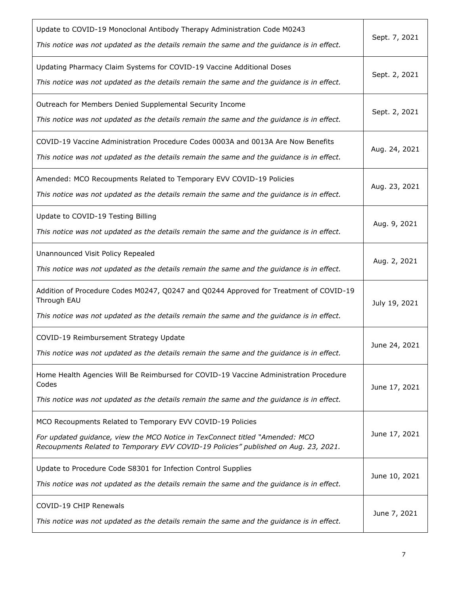| Update to COVID-19 Monoclonal Antibody Therapy Administration Code M0243<br>This notice was not updated as the details remain the same and the guidance is in effect.                                                             | Sept. 7, 2021 |
|-----------------------------------------------------------------------------------------------------------------------------------------------------------------------------------------------------------------------------------|---------------|
| Updating Pharmacy Claim Systems for COVID-19 Vaccine Additional Doses<br>This notice was not updated as the details remain the same and the guidance is in effect.                                                                | Sept. 2, 2021 |
| Outreach for Members Denied Supplemental Security Income<br>This notice was not updated as the details remain the same and the guidance is in effect.                                                                             | Sept. 2, 2021 |
| COVID-19 Vaccine Administration Procedure Codes 0003A and 0013A Are Now Benefits<br>This notice was not updated as the details remain the same and the guidance is in effect.                                                     | Aug. 24, 2021 |
| Amended: MCO Recoupments Related to Temporary EVV COVID-19 Policies<br>This notice was not updated as the details remain the same and the guidance is in effect.                                                                  | Aug. 23, 2021 |
| Update to COVID-19 Testing Billing<br>This notice was not updated as the details remain the same and the guidance is in effect.                                                                                                   | Aug. 9, 2021  |
| Unannounced Visit Policy Repealed<br>This notice was not updated as the details remain the same and the guidance is in effect.                                                                                                    | Aug. 2, 2021  |
| Addition of Procedure Codes M0247, Q0247 and Q0244 Approved for Treatment of COVID-19<br>Through EAU<br>This notice was not updated as the details remain the same and the guidance is in effect.                                 | July 19, 2021 |
| COVID-19 Reimbursement Strategy Update<br>This notice was not updated as the details remain the same and the guidance is in effect.                                                                                               | June 24, 2021 |
| Home Health Agencies Will Be Reimbursed for COVID-19 Vaccine Administration Procedure<br>Codes<br>This notice was not updated as the details remain the same and the guidance is in effect.                                       | June 17, 2021 |
| MCO Recoupments Related to Temporary EVV COVID-19 Policies<br>For updated guidance, view the MCO Notice in TexConnect titled "Amended: MCO<br>Recoupments Related to Temporary EVV COVID-19 Policies" published on Aug. 23, 2021. | June 17, 2021 |
| Update to Procedure Code S8301 for Infection Control Supplies<br>This notice was not updated as the details remain the same and the guidance is in effect.                                                                        | June 10, 2021 |
| COVID-19 CHIP Renewals<br>This notice was not updated as the details remain the same and the guidance is in effect.                                                                                                               | June 7, 2021  |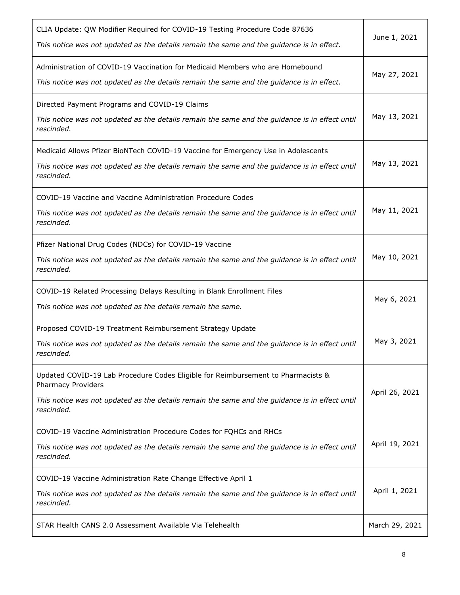| CLIA Update: QW Modifier Required for COVID-19 Testing Procedure Code 87636<br>This notice was not updated as the details remain the same and the guidance is in effect.                                                      | June 1, 2021   |
|-------------------------------------------------------------------------------------------------------------------------------------------------------------------------------------------------------------------------------|----------------|
| Administration of COVID-19 Vaccination for Medicaid Members who are Homebound<br>This notice was not updated as the details remain the same and the guidance is in effect.                                                    | May 27, 2021   |
| Directed Payment Programs and COVID-19 Claims<br>This notice was not updated as the details remain the same and the guidance is in effect until<br>rescinded.                                                                 | May 13, 2021   |
| Medicaid Allows Pfizer BioNTech COVID-19 Vaccine for Emergency Use in Adolescents<br>This notice was not updated as the details remain the same and the guidance is in effect until<br>rescinded.                             | May 13, 2021   |
| COVID-19 Vaccine and Vaccine Administration Procedure Codes<br>This notice was not updated as the details remain the same and the guidance is in effect until<br>rescinded.                                                   | May 11, 2021   |
| Pfizer National Drug Codes (NDCs) for COVID-19 Vaccine<br>This notice was not updated as the details remain the same and the guidance is in effect until<br>rescinded.                                                        | May 10, 2021   |
| COVID-19 Related Processing Delays Resulting in Blank Enrollment Files<br>This notice was not updated as the details remain the same.                                                                                         | May 6, 2021    |
| Proposed COVID-19 Treatment Reimbursement Strategy Update<br>This notice was not updated as the details remain the same and the guidance is in effect until<br>rescinded.                                                     | May 3, 2021    |
| Updated COVID-19 Lab Procedure Codes Eligible for Reimbursement to Pharmacists &<br><b>Pharmacy Providers</b><br>This notice was not updated as the details remain the same and the guidance is in effect until<br>rescinded. | April 26, 2021 |
| COVID-19 Vaccine Administration Procedure Codes for FQHCs and RHCs<br>This notice was not updated as the details remain the same and the guidance is in effect until<br>rescinded.                                            | April 19, 2021 |
| COVID-19 Vaccine Administration Rate Change Effective April 1<br>This notice was not updated as the details remain the same and the guidance is in effect until<br>rescinded.                                                 | April 1, 2021  |
| STAR Health CANS 2.0 Assessment Available Via Telehealth                                                                                                                                                                      | March 29, 2021 |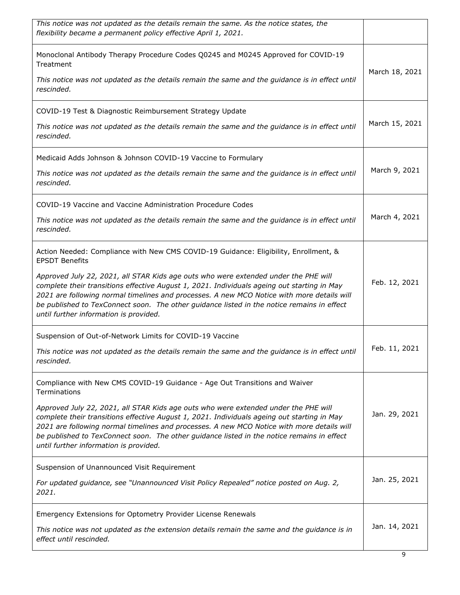| This notice was not updated as the details remain the same. As the notice states, the<br>flexibility became a permanent policy effective April 1, 2021.                                                                                                                                                                                                                                                                  |                |
|--------------------------------------------------------------------------------------------------------------------------------------------------------------------------------------------------------------------------------------------------------------------------------------------------------------------------------------------------------------------------------------------------------------------------|----------------|
| Monoclonal Antibody Therapy Procedure Codes Q0245 and M0245 Approved for COVID-19<br>Treatment                                                                                                                                                                                                                                                                                                                           | March 18, 2021 |
| This notice was not updated as the details remain the same and the guidance is in effect until<br>rescinded.                                                                                                                                                                                                                                                                                                             |                |
| COVID-19 Test & Diagnostic Reimbursement Strategy Update                                                                                                                                                                                                                                                                                                                                                                 |                |
| This notice was not updated as the details remain the same and the guidance is in effect until<br>rescinded.                                                                                                                                                                                                                                                                                                             | March 15, 2021 |
| Medicaid Adds Johnson & Johnson COVID-19 Vaccine to Formulary                                                                                                                                                                                                                                                                                                                                                            |                |
| This notice was not updated as the details remain the same and the guidance is in effect until<br>rescinded.                                                                                                                                                                                                                                                                                                             | March 9, 2021  |
| COVID-19 Vaccine and Vaccine Administration Procedure Codes                                                                                                                                                                                                                                                                                                                                                              |                |
| This notice was not updated as the details remain the same and the guidance is in effect until<br>rescinded.                                                                                                                                                                                                                                                                                                             | March 4, 2021  |
| Action Needed: Compliance with New CMS COVID-19 Guidance: Eligibility, Enrollment, &<br><b>EPSDT Benefits</b>                                                                                                                                                                                                                                                                                                            |                |
| Approved July 22, 2021, all STAR Kids age outs who were extended under the PHE will<br>complete their transitions effective August 1, 2021. Individuals ageing out starting in May<br>2021 are following normal timelines and processes. A new MCO Notice with more details will<br>be published to TexConnect soon. The other guidance listed in the notice remains in effect<br>until further information is provided. | Feb. 12, 2021  |
| Suspension of Out-of-Network Limits for COVID-19 Vaccine                                                                                                                                                                                                                                                                                                                                                                 |                |
| This notice was not updated as the details remain the same and the guidance is in effect until<br>rescinded.                                                                                                                                                                                                                                                                                                             | Feb. 11, 2021  |
| Compliance with New CMS COVID-19 Guidance - Age Out Transitions and Waiver<br><b>Terminations</b>                                                                                                                                                                                                                                                                                                                        |                |
| Approved July 22, 2021, all STAR Kids age outs who were extended under the PHE will<br>complete their transitions effective August 1, 2021. Individuals ageing out starting in May<br>2021 are following normal timelines and processes. A new MCO Notice with more details will<br>be published to TexConnect soon. The other guidance listed in the notice remains in effect<br>until further information is provided. | Jan. 29, 2021  |
| Suspension of Unannounced Visit Requirement                                                                                                                                                                                                                                                                                                                                                                              |                |
| For updated guidance, see "Unannounced Visit Policy Repealed" notice posted on Aug. 2,<br>2021.                                                                                                                                                                                                                                                                                                                          | Jan. 25, 2021  |
| Emergency Extensions for Optometry Provider License Renewals                                                                                                                                                                                                                                                                                                                                                             |                |
| This notice was not updated as the extension details remain the same and the guidance is in<br>effect until rescinded.                                                                                                                                                                                                                                                                                                   | Jan. 14, 2021  |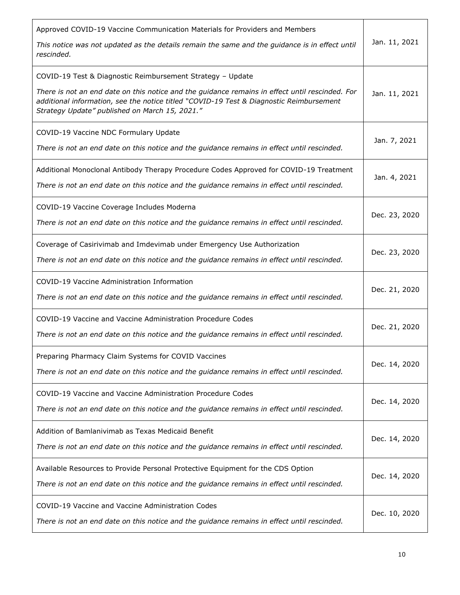| Approved COVID-19 Vaccine Communication Materials for Providers and Members                                                                                                                                                                  |               |
|----------------------------------------------------------------------------------------------------------------------------------------------------------------------------------------------------------------------------------------------|---------------|
| This notice was not updated as the details remain the same and the guidance is in effect until<br>rescinded.                                                                                                                                 | Jan. 11, 2021 |
| COVID-19 Test & Diagnostic Reimbursement Strategy - Update                                                                                                                                                                                   |               |
| There is not an end date on this notice and the guidance remains in effect until rescinded. For<br>additional information, see the notice titled "COVID-19 Test & Diagnostic Reimbursement<br>Strategy Update" published on March 15, 2021." | Jan. 11, 2021 |
| COVID-19 Vaccine NDC Formulary Update                                                                                                                                                                                                        |               |
| There is not an end date on this notice and the guidance remains in effect until rescinded.                                                                                                                                                  | Jan. 7, 2021  |
| Additional Monoclonal Antibody Therapy Procedure Codes Approved for COVID-19 Treatment<br>There is not an end date on this notice and the guidance remains in effect until rescinded.                                                        | Jan. 4, 2021  |
| COVID-19 Vaccine Coverage Includes Moderna                                                                                                                                                                                                   |               |
| There is not an end date on this notice and the guidance remains in effect until rescinded.                                                                                                                                                  | Dec. 23, 2020 |
| Coverage of Casirivimab and Imdevimab under Emergency Use Authorization                                                                                                                                                                      | Dec. 23, 2020 |
| There is not an end date on this notice and the guidance remains in effect until rescinded.                                                                                                                                                  |               |
| COVID-19 Vaccine Administration Information                                                                                                                                                                                                  |               |
| There is not an end date on this notice and the guidance remains in effect until rescinded.                                                                                                                                                  | Dec. 21, 2020 |
| COVID-19 Vaccine and Vaccine Administration Procedure Codes                                                                                                                                                                                  |               |
| There is not an end date on this notice and the guidance remains in effect until rescinded.                                                                                                                                                  | Dec. 21, 2020 |
| Preparing Pharmacy Claim Systems for COVID Vaccines                                                                                                                                                                                          | Dec. 14, 2020 |
| There is not an end date on this notice and the guidance remains in effect until rescinded.                                                                                                                                                  |               |
| COVID-19 Vaccine and Vaccine Administration Procedure Codes                                                                                                                                                                                  | Dec. 14, 2020 |
| There is not an end date on this notice and the guidance remains in effect until rescinded.                                                                                                                                                  |               |
| Addition of Bamlanivimab as Texas Medicaid Benefit                                                                                                                                                                                           | Dec. 14, 2020 |
| There is not an end date on this notice and the guidance remains in effect until rescinded.                                                                                                                                                  |               |
| Available Resources to Provide Personal Protective Equipment for the CDS Option                                                                                                                                                              | Dec. 14, 2020 |
| There is not an end date on this notice and the guidance remains in effect until rescinded.                                                                                                                                                  |               |
| COVID-19 Vaccine and Vaccine Administration Codes                                                                                                                                                                                            | Dec. 10, 2020 |
| There is not an end date on this notice and the guidance remains in effect until rescinded.                                                                                                                                                  |               |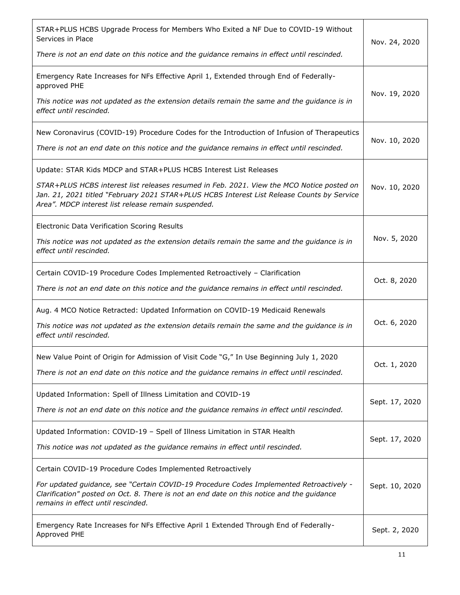| STAR+PLUS HCBS Upgrade Process for Members Who Exited a NF Due to COVID-19 Without<br>Services in Place                                                                                                                                        | Nov. 24, 2020  |
|------------------------------------------------------------------------------------------------------------------------------------------------------------------------------------------------------------------------------------------------|----------------|
| There is not an end date on this notice and the guidance remains in effect until rescinded.                                                                                                                                                    |                |
| Emergency Rate Increases for NFs Effective April 1, Extended through End of Federally-<br>approved PHE                                                                                                                                         | Nov. 19, 2020  |
| This notice was not updated as the extension details remain the same and the guidance is in<br>effect until rescinded.                                                                                                                         |                |
| New Coronavirus (COVID-19) Procedure Codes for the Introduction of Infusion of Therapeutics                                                                                                                                                    |                |
| There is not an end date on this notice and the guidance remains in effect until rescinded.                                                                                                                                                    | Nov. 10, 2020  |
| Update: STAR Kids MDCP and STAR+PLUS HCBS Interest List Releases                                                                                                                                                                               |                |
| STAR+PLUS HCBS interest list releases resumed in Feb. 2021. View the MCO Notice posted on<br>Jan. 21, 2021 titled "February 2021 STAR+PLUS HCBS Interest List Release Counts by Service<br>Area". MDCP interest list release remain suspended. | Nov. 10, 2020  |
| Electronic Data Verification Scoring Results                                                                                                                                                                                                   |                |
| This notice was not updated as the extension details remain the same and the guidance is in<br>effect until rescinded.                                                                                                                         | Nov. 5, 2020   |
| Certain COVID-19 Procedure Codes Implemented Retroactively - Clarification                                                                                                                                                                     |                |
| There is not an end date on this notice and the guidance remains in effect until rescinded.                                                                                                                                                    | Oct. 8, 2020   |
| Aug. 4 MCO Notice Retracted: Updated Information on COVID-19 Medicaid Renewals                                                                                                                                                                 |                |
| This notice was not updated as the extension details remain the same and the guidance is in<br>effect until rescinded.                                                                                                                         | Oct. 6, 2020   |
| New Value Point of Origin for Admission of Visit Code "G," In Use Beginning July 1, 2020                                                                                                                                                       | Oct. 1, 2020   |
| There is not an end date on this notice and the guidance remains in effect until rescinded.                                                                                                                                                    |                |
| Updated Information: Spell of Illness Limitation and COVID-19                                                                                                                                                                                  | Sept. 17, 2020 |
| There is not an end date on this notice and the guidance remains in effect until rescinded.                                                                                                                                                    |                |
| Updated Information: COVID-19 - Spell of Illness Limitation in STAR Health                                                                                                                                                                     |                |
| This notice was not updated as the guidance remains in effect until rescinded.                                                                                                                                                                 | Sept. 17, 2020 |
| Certain COVID-19 Procedure Codes Implemented Retroactively                                                                                                                                                                                     |                |
| For updated guidance, see "Certain COVID-19 Procedure Codes Implemented Retroactively -<br>Clarification" posted on Oct. 8. There is not an end date on this notice and the guidance<br>remains in effect until rescinded.                     | Sept. 10, 2020 |
| Emergency Rate Increases for NFs Effective April 1 Extended Through End of Federally-<br>Approved PHE                                                                                                                                          | Sept. 2, 2020  |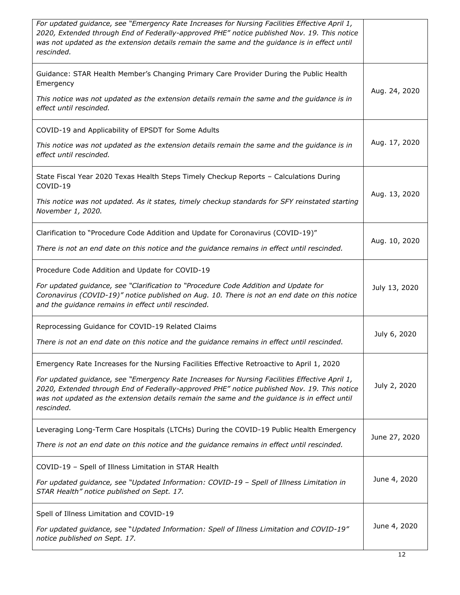| For updated guidance, see "Emergency Rate Increases for Nursing Facilities Effective April 1,<br>2020, Extended through End of Federally-approved PHE" notice published Nov. 19. This notice<br>was not updated as the extension details remain the same and the guidance is in effect until<br>rescinded. |               |
|------------------------------------------------------------------------------------------------------------------------------------------------------------------------------------------------------------------------------------------------------------------------------------------------------------|---------------|
| Guidance: STAR Health Member's Changing Primary Care Provider During the Public Health<br>Emergency<br>This notice was not updated as the extension details remain the same and the guidance is in                                                                                                         | Aug. 24, 2020 |
| effect until rescinded.                                                                                                                                                                                                                                                                                    |               |
| COVID-19 and Applicability of EPSDT for Some Adults                                                                                                                                                                                                                                                        | Aug. 17, 2020 |
| This notice was not updated as the extension details remain the same and the guidance is in<br>effect until rescinded.                                                                                                                                                                                     |               |
| State Fiscal Year 2020 Texas Health Steps Timely Checkup Reports - Calculations During<br>COVID-19                                                                                                                                                                                                         |               |
| This notice was not updated. As it states, timely checkup standards for SFY reinstated starting<br>November 1, 2020.                                                                                                                                                                                       | Aug. 13, 2020 |
| Clarification to "Procedure Code Addition and Update for Coronavirus (COVID-19)"                                                                                                                                                                                                                           |               |
| There is not an end date on this notice and the guidance remains in effect until rescinded.                                                                                                                                                                                                                | Aug. 10, 2020 |
| Procedure Code Addition and Update for COVID-19                                                                                                                                                                                                                                                            |               |
| For updated guidance, see "Clarification to "Procedure Code Addition and Update for<br>Coronavirus (COVID-19)" notice published on Aug. 10. There is not an end date on this notice<br>and the guidance remains in effect until rescinded.                                                                 | July 13, 2020 |
| Reprocessing Guidance for COVID-19 Related Claims                                                                                                                                                                                                                                                          | July 6, 2020  |
| There is not an end date on this notice and the guidance remains in effect until rescinded.                                                                                                                                                                                                                |               |
| Emergency Rate Increases for the Nursing Facilities Effective Retroactive to April 1, 2020                                                                                                                                                                                                                 |               |
| For updated guidance, see "Emergency Rate Increases for Nursing Facilities Effective April 1,<br>2020, Extended through End of Federally-approved PHE" notice published Nov. 19. This notice<br>was not updated as the extension details remain the same and the guidance is in effect until<br>rescinded. | July 2, 2020  |
| Leveraging Long-Term Care Hospitals (LTCHs) During the COVID-19 Public Health Emergency                                                                                                                                                                                                                    | June 27, 2020 |
| There is not an end date on this notice and the guidance remains in effect until rescinded.                                                                                                                                                                                                                |               |
| COVID-19 - Spell of Illness Limitation in STAR Health                                                                                                                                                                                                                                                      |               |
| For updated guidance, see "Updated Information: COVID-19 - Spell of Illness Limitation in<br>STAR Health" notice published on Sept. 17.                                                                                                                                                                    | June 4, 2020  |
| Spell of Illness Limitation and COVID-19                                                                                                                                                                                                                                                                   |               |
| For updated guidance, see "Updated Information: Spell of Illness Limitation and COVID-19"<br>notice published on Sept. 17.                                                                                                                                                                                 | June 4, 2020  |